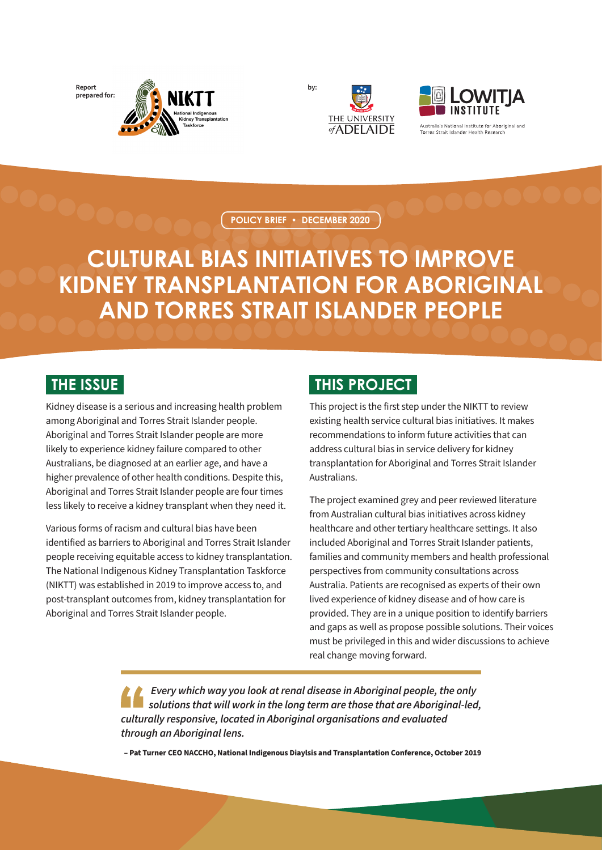**Report prepared for:**



**by:**





Australia's National Institute for Aboriginal and **Torres Strait Islander Health Pesparr** 

**POLICY BRIEF • DECEMBER 2020**

# **CULTURAL BIAS INITIATIVES TO IMPROVE KIDNEY TRANSPLANTATION FOR ABORIGINAL AND TORRES STRAIT ISLANDER PEOPLE**

#### **THE ISSUE**

Kidney disease is a serious and increasing health problem among Aboriginal and Torres Strait Islander people. Aboriginal and Torres Strait Islander people are more likely to experience kidney failure compared to other Australians, be diagnosed at an earlier age, and have a higher prevalence of other health conditions. Despite this, Aboriginal and Torres Strait Islander people are four times less likely to receive a kidney transplant when they need it.

Various forms of racism and cultural bias have been identified as barriers to Aboriginal and Torres Strait Islander people receiving equitable access to kidney transplantation. The National Indigenous Kidney Transplantation Taskforce (NIKTT) was established in 2019 to improve access to, and post-transplant outcomes from, kidney transplantation for Aboriginal and Torres Strait Islander people.

### **THIS PROJECT**

This project is the first step under the NIKTT to review existing health service cultural bias initiatives. It makes recommendations to inform future activities that can address cultural bias in service delivery for kidney transplantation for Aboriginal and Torres Strait Islander Australians.

The project examined grey and peer reviewed literature from Australian cultural bias initiatives across kidney healthcare and other tertiary healthcare settings. It also included Aboriginal and Torres Strait Islander patients, families and community members and health professional perspectives from community consultations across Australia. Patients are recognised as experts of their own lived experience of kidney disease and of how care is provided. They are in a unique position to identify barriers and gaps as well as propose possible solutions. Their voices must be privileged in this and wider discussions to achieve real change moving forward.

 *Every which way you look at renal disease in Aboriginal people, the only solutions that will work in the long term are those that are Aboriginal-led, culturally responsive, located in Aboriginal organisations and evaluated through an Aboriginal lens.* 

**– Pat Turner CEO NACCHO, National Indigenous Diaylsis and Transplantation Conference, October 2019**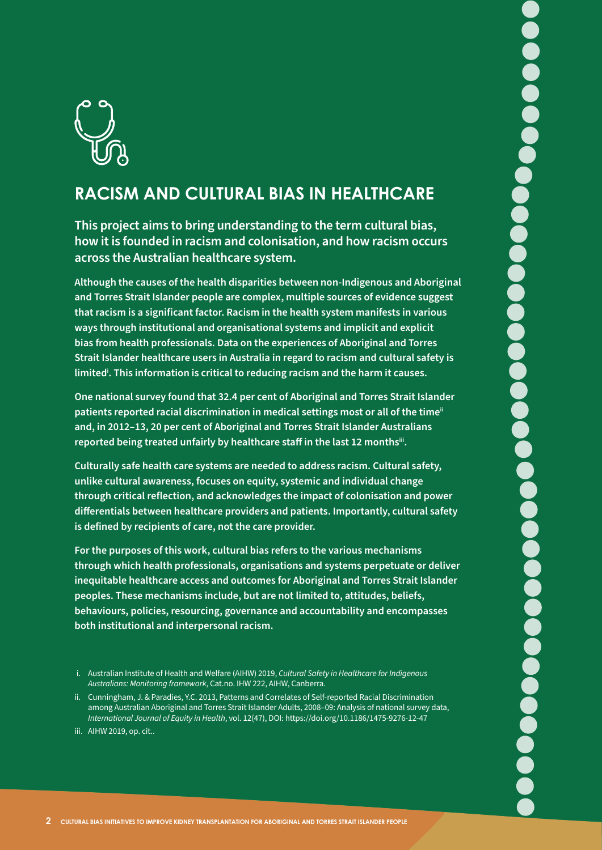

## **RACISM AND CULTURAL BIAS IN HEALTHCARE**

**This project aims to bring understanding to the term cultural bias, how it is founded in racism and colonisation, and how racism occurs across the Australian healthcare system.** 

**Although the causes of the health disparities between non-Indigenous and Aboriginal and Torres Strait Islander people are complex, multiple sources of evidence suggest that racism is a significant factor. Racism in the health system manifests in various ways through institutional and organisational systems and implicit and explicit bias from health professionals. Data on the experiences of Aboriginal and Torres Strait Islander healthcare users in Australia in regard to racism and cultural safety is limitedi . This information is critical to reducing racism and the harm it causes.** 

**One national survey found that 32.4 per cent of Aboriginal and Torres Strait Islander patients reported racial discrimination in medical settings most or all of the timeii and, in 2012–13, 20 per cent of Aboriginal and Torres Strait Islander Australians reported being treated unfairly by healthcare staff in the last 12 monthsiii.**

**Culturally safe health care systems are needed to address racism. Cultural safety, unlike cultural awareness, focuses on equity, systemic and individual change through critical reflection, and acknowledges the impact of colonisation and power differentials between healthcare providers and patients. Importantly, cultural safety is defined by recipients of care, not the care provider.** 

**For the purposes of this work, cultural bias refers to the various mechanisms through which health professionals, organisations and systems perpetuate or deliver inequitable healthcare access and outcomes for Aboriginal and Torres Strait Islander peoples. These mechanisms include, but are not limited to, attitudes, beliefs, behaviours, policies, resourcing, governance and accountability and encompasses both institutional and interpersonal racism.** 

i. Australian Institute of Health and Welfare (AIHW) 2019, *Cultural Safety in Healthcare for Indigenous Australians: Monitoring framework*, Cat.no. IHW 222, AIHW, Canberra.

ii. Cunningham, J. & Paradies, Y.C. 2013, Patterns and Correlates of Self-reported Racial Discrimination among Australian Aboriginal and Torres Strait Islander Adults, 2008–09: Analysis of national survey data, *International Journal of Equity in Health*, vol. 12(47), DOI: https://doi.org/10.1186/1475-9276-12-47

iii. AIHW 2019, op. cit..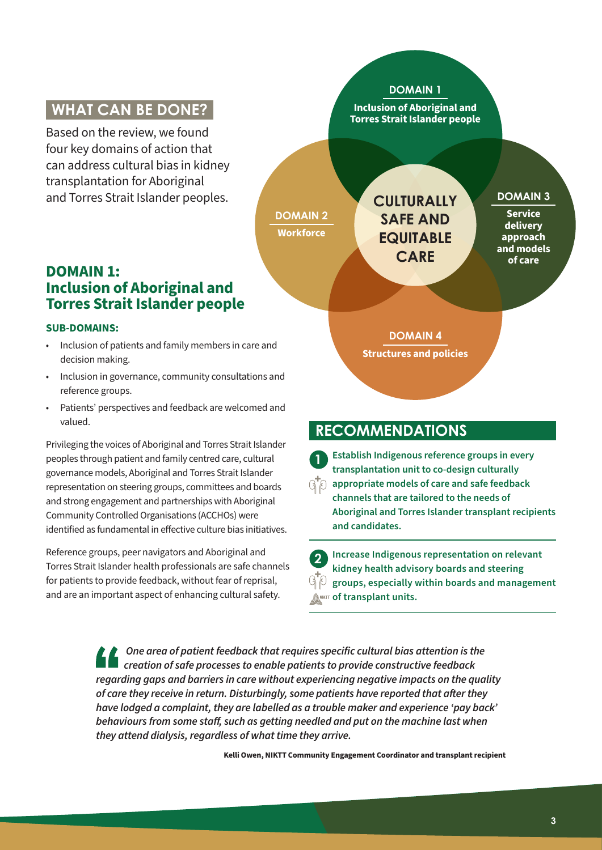### **WHAT CAN BE DONE?**

Based on the review, we found four key domains of action that can address cultural bias in kidney transplantation for Aboriginal and Torres Strait Islander peoples.

#### **DOMAIN 1: Inclusion of Aboriginal and Torres Strait Islander people**

#### **SUB-DOMAINS:**

- Inclusion of patients and family members in care and decision making.
- Inclusion in governance, community consultations and reference groups.
- Patients' perspectives and feedback are welcomed and valued.

Privileging the voices of Aboriginal and Torres Strait Islander peoples through patient and family centred care, cultural governance models, Aboriginal and Torres Strait Islander representation on steering groups, committees and boards and strong engagement and partnerships with Aboriginal Community Controlled Organisations (ACCHOs) were identified as fundamental in effective culture bias initiatives.

Reference groups, peer navigators and Aboriginal and Torres Strait Islander health professionals are safe channels for patients to provide feedback, without fear of reprisal, and are an important aspect of enhancing cultural safety.



#### **RECOMMENDATIONS**

**1 Establish Indigenous reference groups in every transplantation unit to co-design culturally**   $\mathbb{R}^\mathsf{T}$  appropriate models of care and safe feedback **channels that are tailored to the needs of Aboriginal and Torres Islander transplant recipients and candidates.**

**2 Increase Indigenous representation on relevant kidney health advisory boards and steering groups, especially within boards and management**  *CANIKTT* **of transplant units.** 

 *One area of patient feedback that requires specific cultural bias attention is the creation of safe processes to enable patients to provide constructive feedback regarding gaps and barriers in care without experiencing negative impacts on the quality of care they receive in return. Disturbingly, some patients have reported that after they have lodged a complaint, they are labelled as a trouble maker and experience 'pay back' behaviours from some staff, such as getting needled and put on the machine last when they attend dialysis, regardless of what time they arrive.* 

**Kelli Owen, NIKTT Community Engagement Coordinator and transplant recipient**

3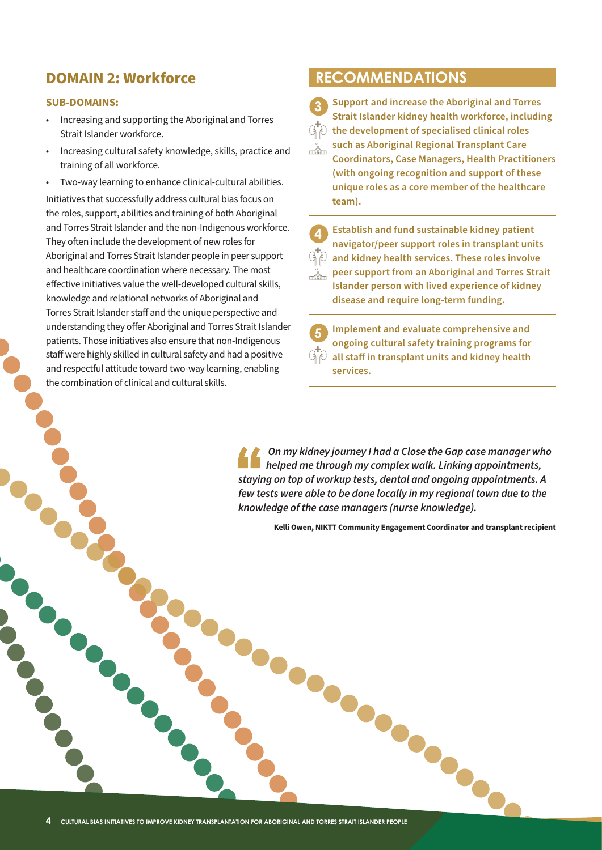#### **DOMAIN 2: Workforce**

#### **SUB-DOMAINS:**

- Increasing and supporting the Aboriginal and Torres Strait Islander workforce.
- Increasing cultural safety knowledge, skills, practice and training of all workforce.
- Two-way learning to enhance clinical-cultural abilities.

Initiatives that successfully address cultural bias focus on the roles, support, abilities and training of both Aboriginal and Torres Strait Islander and the non-Indigenous workforce. They often include the development of new roles for Aboriginal and Torres Strait Islander people in peer support and healthcare coordination where necessary. The most effective initiatives value the well-developed cultural skills, knowledge and relational networks of Aboriginal and Torres Strait Islander staff and the unique perspective and understanding they offer Aboriginal and Torres Strait Islander patients. Those initiatives also ensure that non-Indigenous staff were highly skilled in cultural safety and had a positive and respectful attitude toward two-way learning, enabling the combination of clinical and cultural skills.

#### **RECOMMENDATIONS**

**3 Support and increase the Aboriginal and Torres Strait Islander kidney health workforce, including**   $\mathbb{G}^{\!\mathsf{T}}\!\mathbb{\O}$  the development of specialised clinical roles **such as Aboriginal Regional Transplant Care**   $\frac{1}{2}$ **Coordinators, Case Managers, Health Practitioners (with ongoing recognition and support of these unique roles as a core member of the healthcare team).**

**4 Establish and fund sustainable kidney patient navigator/peer support roles in transplant units and kidney health services. These roles involve peer support from an Aboriginal and Torres Strait Islander person with lived experience of kidney disease and require long-term funding.**

 $9P$ ...À...

> **5 Implement and evaluate comprehensive and ongoing cultural safety training programs for all staff in transplant units and kidney health services.**

 *On my kidney journey I had a Close the Gap case manager who helped me through my complex walk. Linking appointments, staying on top of workup tests, dental and ongoing appointments. A few tests were able to be done locally in my regional town due to the knowledge of the case managers (nurse knowledge).* 

**Kelli Owen, NIKTT Community Engagement Coordinator and transplant recipient**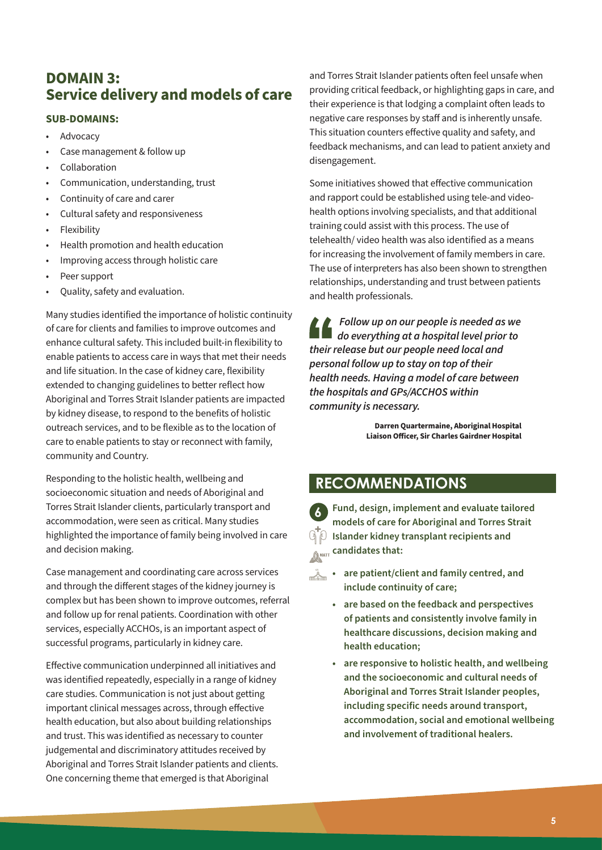#### **DOMAIN 3: Service delivery and models of care**

#### **SUB-DOMAINS:**

- **Advocacy**
- Case management & follow up
- Collaboration
- Communication, understanding, trust
- Continuity of care and carer
- Cultural safety and responsiveness
- **Flexibility**
- Health promotion and health education
- Improving access through holistic care
- Peer support
- Quality, safety and evaluation.

Many studies identified the importance of holistic continuity of care for clients and families to improve outcomes and enhance cultural safety. This included built-in flexibility to enable patients to access care in ways that met their needs and life situation. In the case of kidney care, flexibility extended to changing guidelines to better reflect how Aboriginal and Torres Strait Islander patients are impacted by kidney disease, to respond to the benefits of holistic outreach services, and to be flexible as to the location of care to enable patients to stay or reconnect with family, community and Country.

Responding to the holistic health, wellbeing and socioeconomic situation and needs of Aboriginal and Torres Strait Islander clients, particularly transport and accommodation, were seen as critical. Many studies highlighted the importance of family being involved in care and decision making.

Case management and coordinating care across services and through the different stages of the kidney journey is complex but has been shown to improve outcomes, referral and follow up for renal patients. Coordination with other services, especially ACCHOs, is an important aspect of successful programs, particularly in kidney care.

Effective communication underpinned all initiatives and was identified repeatedly, especially in a range of kidney care studies. Communication is not just about getting important clinical messages across, through effective health education, but also about building relationships and trust. This was identified as necessary to counter judgemental and discriminatory attitudes received by Aboriginal and Torres Strait Islander patients and clients. One concerning theme that emerged is that Aboriginal

and Torres Strait Islander patients often feel unsafe when providing critical feedback, or highlighting gaps in care, and their experience is that lodging a complaint often leads to negative care responses by staff and is inherently unsafe. This situation counters effective quality and safety, and feedback mechanisms, and can lead to patient anxiety and disengagement.

Some initiatives showed that effective communication and rapport could be established using tele-and videohealth options involving specialists, and that additional training could assist with this process. The use of telehealth/ video health was also identified as a means for increasing the involvement of family members in care. The use of interpreters has also been shown to strengthen relationships, understanding and trust between patients and health professionals.

 *Follow up on our people is needed as we do everything at a hospital level prior to their release but our people need local and personal follow up to stay on top of their health needs. Having a model of care between the hospitals and GPs/ACCHOS within community is necessary.* 

> **Darren Quartermaine, Aboriginal Hospital Liaison Officer, Sir Charles Gairdner Hospital**

### **RECOMMENDATIONS**

**6 Fund, design, implement and evaluate tailored models of care for Aboriginal and Torres Strait ISM** Islander kidney transplant recipients and **Candidates that:** 

- **•** are patient/client and family centred, and **include continuity of care;**
	- **• are based on the feedback and perspectives of patients and consistently involve family in healthcare discussions, decision making and health education;**
	- **• are responsive to holistic health, and wellbeing and the socioeconomic and cultural needs of Aboriginal and Torres Strait Islander peoples, including specific needs around transport, accommodation, social and emotional wellbeing and involvement of traditional healers.**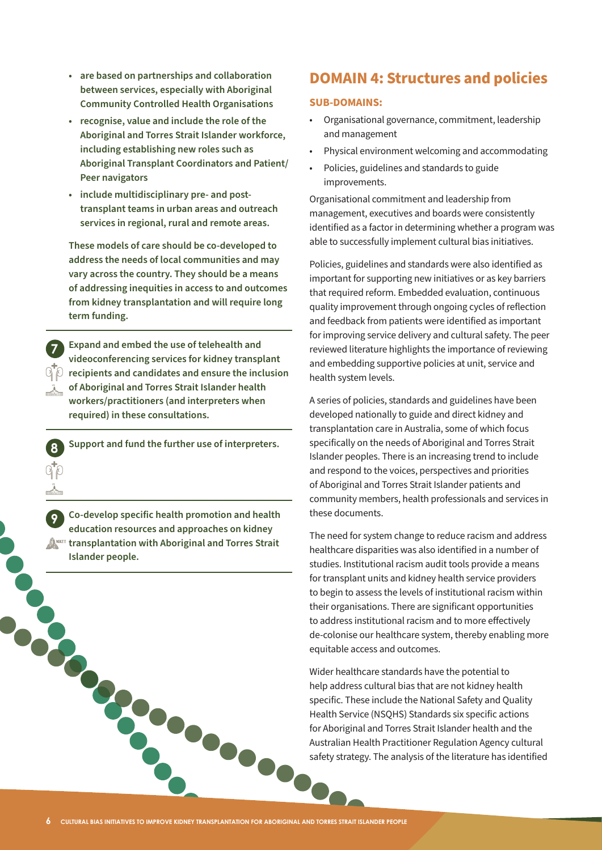- **• are based on partnerships and collaboration between services, especially with Aboriginal Community Controlled Health Organisations**
- **• recognise, value and include the role of the Aboriginal and Torres Strait Islander workforce, including establishing new roles such as Aboriginal Transplant Coordinators and Patient/ Peer navigators**
- **• include multidisciplinary pre- and posttransplant teams in urban areas and outreach services in regional, rural and remote areas.**

**These models of care should be co-developed to address the needs of local communities and may vary across the country. They should be a means of addressing inequities in access to and outcomes from kidney transplantation and will require long term funding.** 

**7 Expand and embed the use of telehealth and videoconferencing services for kidney transplant recipients and candidates and ensure the inclusion of Aboriginal and Torres Strait Islander health workers/practitioners (and interpreters when required) in these consultations.** 

**8 Support and fund the further use of interpreters.**

**9 Co-develop specific health promotion and health education resources and approaches on kidney ANNETT transplantation with Aboriginal and Torres Strait Islander people.**

#### **DOMAIN 4: Structures and policies**

#### **SUB-DOMAINS:**

- Organisational governance, commitment, leadership and management
- Physical environment welcoming and accommodating
- Policies, guidelines and standards to guide improvements.

Organisational commitment and leadership from management, executives and boards were consistently identified as a factor in determining whether a program was able to successfully implement cultural bias initiatives.

Policies, guidelines and standards were also identified as important for supporting new initiatives or as key barriers that required reform. Embedded evaluation, continuous quality improvement through ongoing cycles of reflection and feedback from patients were identified as important for improving service delivery and cultural safety. The peer reviewed literature highlights the importance of reviewing and embedding supportive policies at unit, service and health system levels.

A series of policies, standards and guidelines have been developed nationally to guide and direct kidney and transplantation care in Australia, some of which focus specifically on the needs of Aboriginal and Torres Strait Islander peoples. There is an increasing trend to include and respond to the voices, perspectives and priorities of Aboriginal and Torres Strait Islander patients and community members, health professionals and services in these documents.

The need for system change to reduce racism and address healthcare disparities was also identified in a number of studies. Institutional racism audit tools provide a means for transplant units and kidney health service providers to begin to assess the levels of institutional racism within their organisations. There are significant opportunities to address institutional racism and to more effectively de-colonise our healthcare system, thereby enabling more equitable access and outcomes.

FOR CULTURAL BIAS INITIATIVES TO IMPROVE KIDNEY TRANSPLANTATION FOR ABORIGINAL AND TORRES STRAIT ISLANDER PEOPLE<br>6 CULTURAL BIAS INITIATIVES TO IMPROVE KIDNEY TRANSPLANTATION FOR ABORIGINAL AND TORRES STRAIT ISLANDER PEOPL Wider healthcare standards have the potential to help address cultural bias that are not kidney health specific. These include the National Safety and Quality Health Service (NSQHS) Standards six specific actions for Aboriginal and Torres Strait Islander health and the Australian Health Practitioner Regulation Agency cultural safety strategy. The analysis of the literature has identified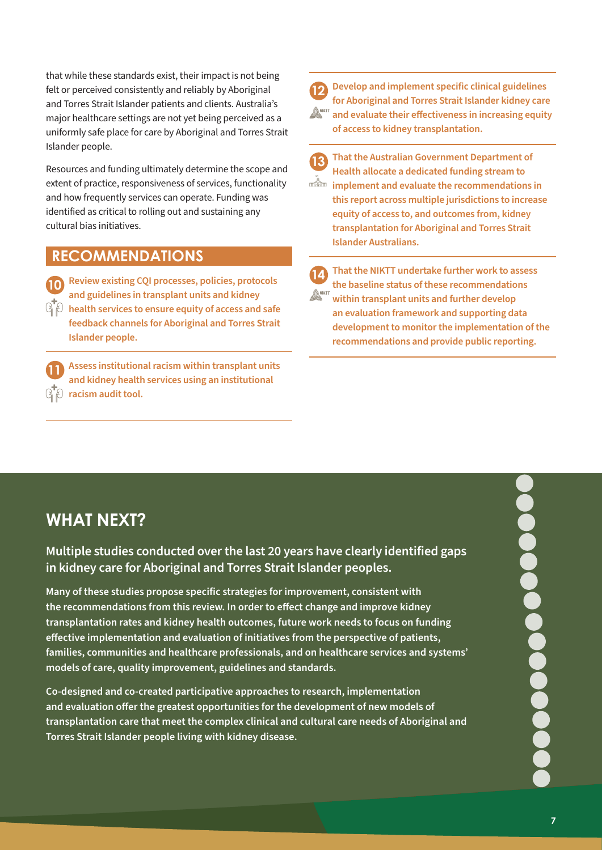that while these standards exist, their impact is not being felt or perceived consistently and reliably by Aboriginal and Torres Strait Islander patients and clients. Australia's major healthcare settings are not yet being perceived as a uniformly safe place for care by Aboriginal and Torres Strait Islander people.

Resources and funding ultimately determine the scope and extent of practice, responsiveness of services, functionality and how frequently services can operate. Funding was identified as critical to rolling out and sustaining any cultural bias initiatives.

#### **RECOMMENDATIONS**

**10 Review existing CQI processes, policies, protocols and guidelines in transplant units and kidney health services to ensure equity of access and safe feedback channels for Aboriginal and Torres Strait Islander people.** 

**11 Assess institutional racism within transplant units and kidney health services using an institutional racism audit tool.**

**12 Develop and implement specific clinical guidelines for Aboriginal and Torres Strait Islander kidney care**   $\mathbb{A}^{\tiny\rm MKT}$  and evaluate their effectiveness in increasing equity **of access to kidney transplantation.** 

**13 That the Australian Government Department of Health allocate a dedicated funding stream to implement and evaluate the recommendations in this report across multiple jurisdictions to increase equity of access to, and outcomes from, kidney transplantation for Aboriginal and Torres Strait Islander Australians.** 

**14 That the NIKTT undertake further work to assess the baseline status of these recommendations DANKTT within transplant units and further develop an evaluation framework and supporting data development to monitor the implementation of the recommendations and provide public reporting.**

## **WHAT NEXT?**

**Multiple studies conducted over the last 20 years have clearly identified gaps in kidney care for Aboriginal and Torres Strait Islander peoples.** 

**Many of these studies propose specific strategies for improvement, consistent with the recommendations from this review. In order to effect change and improve kidney transplantation rates and kidney health outcomes, future work needs to focus on funding effective implementation and evaluation of initiatives from the perspective of patients, families, communities and healthcare professionals, and on healthcare services and systems' models of care, quality improvement, guidelines and standards.** 

**Co-designed and co-created participative approaches to research, implementation and evaluation offer the greatest opportunities for the development of new models of transplantation care that meet the complex clinical and cultural care needs of Aboriginal and Torres Strait Islander people living with kidney disease.**